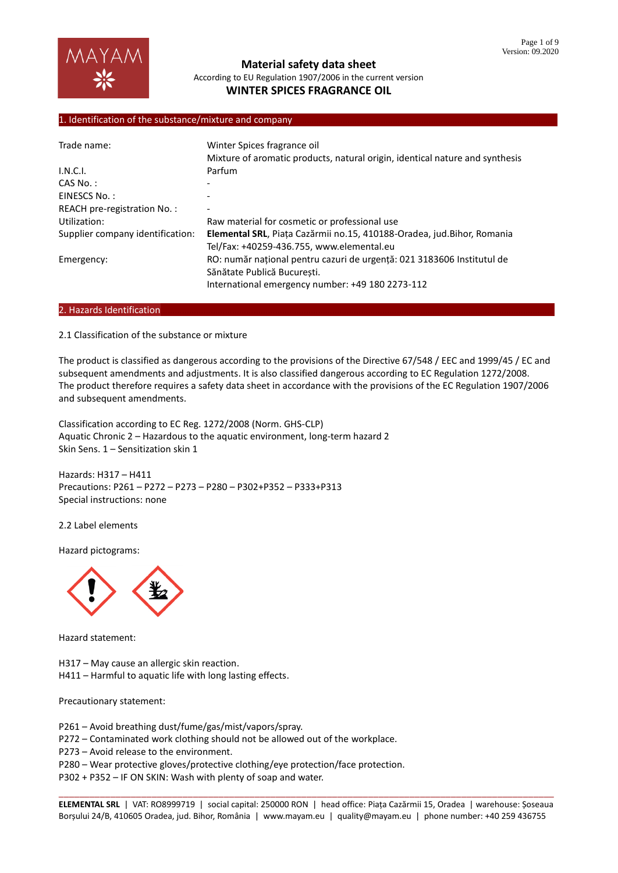

## 1. Identification of the substance/mixture and company

| Trade name:                      | Winter Spices fragrance oil<br>Mixture of aromatic products, natural origin, identical nature and synthesis                                               |  |  |
|----------------------------------|-----------------------------------------------------------------------------------------------------------------------------------------------------------|--|--|
|                                  |                                                                                                                                                           |  |  |
| I.N.C.I.                         | Parfum                                                                                                                                                    |  |  |
| $CAS No.$ :                      |                                                                                                                                                           |  |  |
| EINESCS No.:                     |                                                                                                                                                           |  |  |
| REACH pre-registration No.:      |                                                                                                                                                           |  |  |
| Utilization:                     | Raw material for cosmetic or professional use                                                                                                             |  |  |
| Supplier company identification: | Elemental SRL, Piața Cazărmii no.15, 410188-Oradea, jud. Bihor, Romania<br>Tel/Fax: +40259-436.755, www.elemental.eu                                      |  |  |
| Emergency:                       | RO: număr național pentru cazuri de urgență: 021 3183606 Institutul de<br>Sănătate Publică Bucuresti.<br>International emergency number: +49 180 2273-112 |  |  |
|                                  |                                                                                                                                                           |  |  |

#### 2. Hazards Identification

2.1 Classification of the substance or mixture

The product is classified as dangerous according to the provisions of the Directive 67/548 / EEC and 1999/45 / EC and subsequent amendments and adjustments. It is also classified dangerous according to EC Regulation 1272/2008. The product therefore requires a safety data sheet in accordance with the provisions of the EC Regulation 1907/2006 and subsequent amendments.

Classification according to EC Reg. 1272/2008 (Norm. GHS-CLP) Aquatic Chronic 2 – Hazardous to the aquatic environment, long-term hazard 2 Skin Sens. 1 – Sensitization skin 1

Hazards: H317 – H411 Precautions: P261 – P272 – P273 – P280 – P302+P352 – P333+P313 Special instructions: none

2.2 Label elements

Hazard pictograms:



Hazard statement:

H317 – May cause an allergic skin reaction.

H411 – Harmful to aquatic life with long lasting effects.

Precautionary statement:

P261 – Avoid breathing dust/fume/gas/mist/vapors/spray.

P272 – Contaminated work clothing should not be allowed out of the workplace.

P273 – Avoid release to the environment.

P280 – Wear protective gloves/protective clothing/eye protection/face protection.

P302 + P352 – IF ON SKIN: Wash with plenty of soap and water.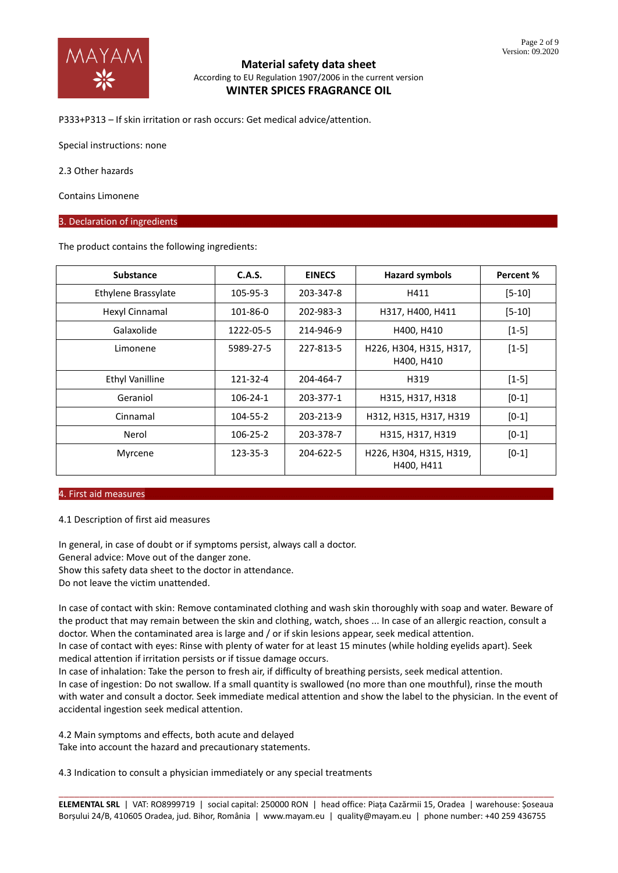

P333+P313 – If skin irritation or rash occurs: Get medical advice/attention.

Special instructions: none

2.3 Other hazards

Contains Limonene

#### 3. Declaration of ingredients

The product contains the following ingredients:

| <b>Substance</b>       | C.A.S.    | <b>EINECS</b> | <b>Hazard symbols</b>                 | Percent %  |
|------------------------|-----------|---------------|---------------------------------------|------------|
| Ethylene Brassylate    | 105-95-3  | 203-347-8     | H411                                  | $[5 - 10]$ |
| Hexyl Cinnamal         | 101-86-0  | 202-983-3     | H317, H400, H411                      | $[5 - 10]$ |
| Galaxolide             | 1222-05-5 | 214-946-9     | H400, H410                            | $[1-5]$    |
| Limonene               | 5989-27-5 | 227-813-5     | H226, H304, H315, H317,<br>H400, H410 | $[1-5]$    |
| <b>Ethyl Vanilline</b> | 121-32-4  | 204-464-7     | H319                                  | $[1-5]$    |
| Geraniol               | 106-24-1  | 203-377-1     | H315, H317, H318                      | $[0-1]$    |
| Cinnamal               | 104-55-2  | 203-213-9     | H312, H315, H317, H319                | $[0-1]$    |
| Nerol                  | 106-25-2  | 203-378-7     | H315, H317, H319                      | $[0-1]$    |
| Myrcene                | 123-35-3  | 204-622-5     | H226, H304, H315, H319,<br>H400, H411 | $[0-1]$    |

#### 4. First aid measures………………………………………………………………………………………………………………………………………………………

4.1 Description of first aid measures

In general, in case of doubt or if symptoms persist, always call a doctor. General advice: Move out of the danger zone.

Show this safety data sheet to the doctor in attendance.

Do not leave the victim unattended.

In case of contact with skin: Remove contaminated clothing and wash skin thoroughly with soap and water. Beware of the product that may remain between the skin and clothing, watch, shoes ... In case of an allergic reaction, consult a doctor. When the contaminated area is large and / or if skin lesions appear, seek medical attention.

In case of contact with eyes: Rinse with plenty of water for at least 15 minutes (while holding eyelids apart). Seek medical attention if irritation persists or if tissue damage occurs.

In case of inhalation: Take the person to fresh air, if difficulty of breathing persists, seek medical attention. In case of ingestion: Do not swallow. If a small quantity is swallowed (no more than one mouthful), rinse the mouth with water and consult a doctor. Seek immediate medical attention and show the label to the physician. In the event of accidental ingestion seek medical attention.

4.2 Main symptoms and effects, both acute and delayed

Take into account the hazard and precautionary statements.

4.3 Indication to consult a physician immediately or any special treatments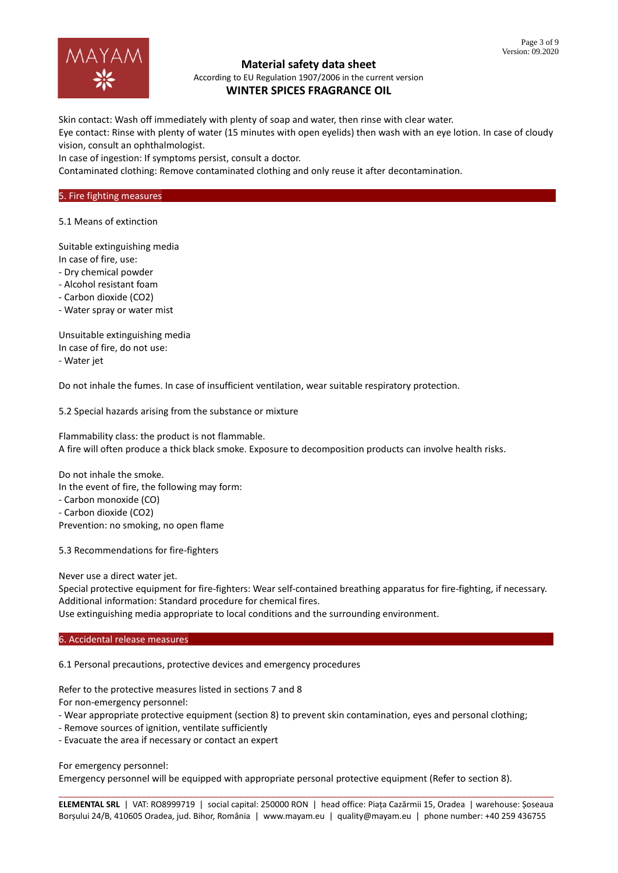

# **Material safety data sheet**

According to EU Regulation 1907/2006 in the current version **WINTER SPICES FRAGRANCE OIL**

Skin contact: Wash off immediately with plenty of soap and water, then rinse with clear water.

Eye contact: Rinse with plenty of water (15 minutes with open eyelids) then wash with an eye lotion. In case of cloudy vision, consult an ophthalmologist.

In case of ingestion: If symptoms persist, consult a doctor.

Contaminated clothing: Remove contaminated clothing and only reuse it after decontamination.

#### 5. Fire fighting measures

5.1 Means of extinction

Suitable extinguishing media In case of fire, use:

- Dry chemical powder

- Alcohol resistant foam

- Carbon dioxide (CO2)

- Water spray or water mist

Unsuitable extinguishing media In case of fire, do not use: - Water jet

Do not inhale the fumes. In case of insufficient ventilation, wear suitable respiratory protection.

5.2 Special hazards arising from the substance or mixture

Flammability class: the product is not flammable. A fire will often produce a thick black smoke. Exposure to decomposition products can involve health risks.

Do not inhale the smoke. In the event of fire, the following may form: - Carbon monoxide (CO) - Carbon dioxide (CO2) Prevention: no smoking, no open flame

5.3 Recommendations for fire-fighters

Never use a direct water jet.

Special protective equipment for fire-fighters: Wear self-contained breathing apparatus for fire-fighting, if necessary. Additional information: Standard procedure for chemical fires.

Use extinguishing media appropriate to local conditions and the surrounding environment.

6. Accidental release measures

6.1 Personal precautions, protective devices and emergency procedures

Refer to the protective measures listed in sections 7 and 8

For non-emergency personnel:

- Wear appropriate protective equipment (section 8) to prevent skin contamination, eyes and personal clothing;

- Remove sources of ignition, ventilate sufficiently
- Evacuate the area if necessary or contact an expert

For emergency personnel:

Emergency personnel will be equipped with appropriate personal protective equipment (Refer to section 8).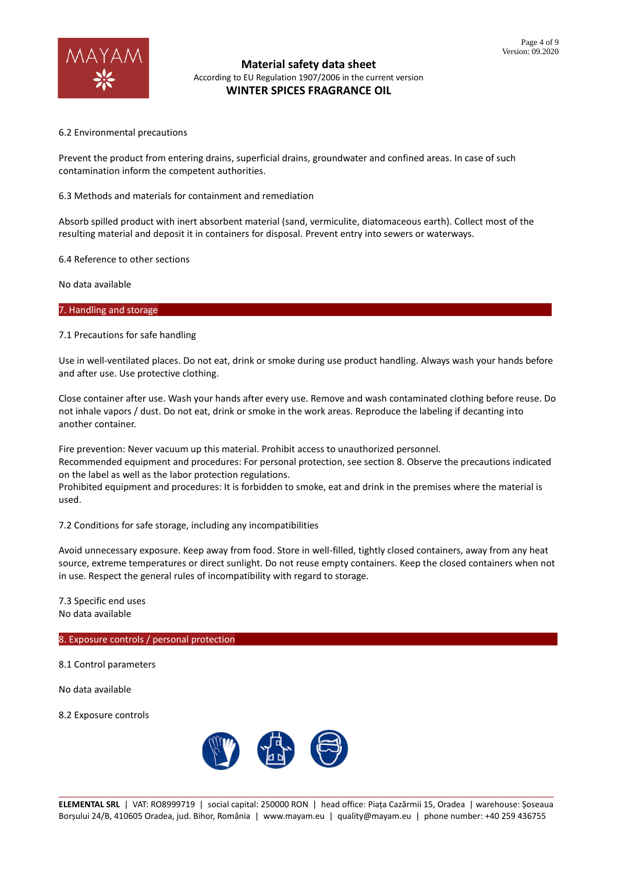

## 6.2 Environmental precautions

Prevent the product from entering drains, superficial drains, groundwater and confined areas. In case of such contamination inform the competent authorities.

## 6.3 Methods and materials for containment and remediation

Absorb spilled product with inert absorbent material (sand, vermiculite, diatomaceous earth). Collect most of the resulting material and deposit it in containers for disposal. Prevent entry into sewers or waterways.

6.4 Reference to other sections

No data available

7. Handling and storage

### 7.1 Precautions for safe handling

Use in well-ventilated places. Do not eat, drink or smoke during use product handling. Always wash your hands before and after use. Use protective clothing.

Close container after use. Wash your hands after every use. Remove and wash contaminated clothing before reuse. Do not inhale vapors / dust. Do not eat, drink or smoke in the work areas. Reproduce the labeling if decanting into another container.

Fire prevention: Never vacuum up this material. Prohibit access to unauthorized personnel. Recommended equipment and procedures: For personal protection, see section 8. Observe the precautions indicated on the label as well as the labor protection regulations.

Prohibited equipment and procedures: It is forbidden to smoke, eat and drink in the premises where the material is used.

7.2 Conditions for safe storage, including any incompatibilities

Avoid unnecessary exposure. Keep away from food. Store in well-filled, tightly closed containers, away from any heat source, extreme temperatures or direct sunlight. Do not reuse empty containers. Keep the closed containers when not in use. Respect the general rules of incompatibility with regard to storage.

7.3 Specific end uses No data available

# 8. Exposure controls / personal protection

8.1 Control parameters

No data available

8.2 Exposure controls

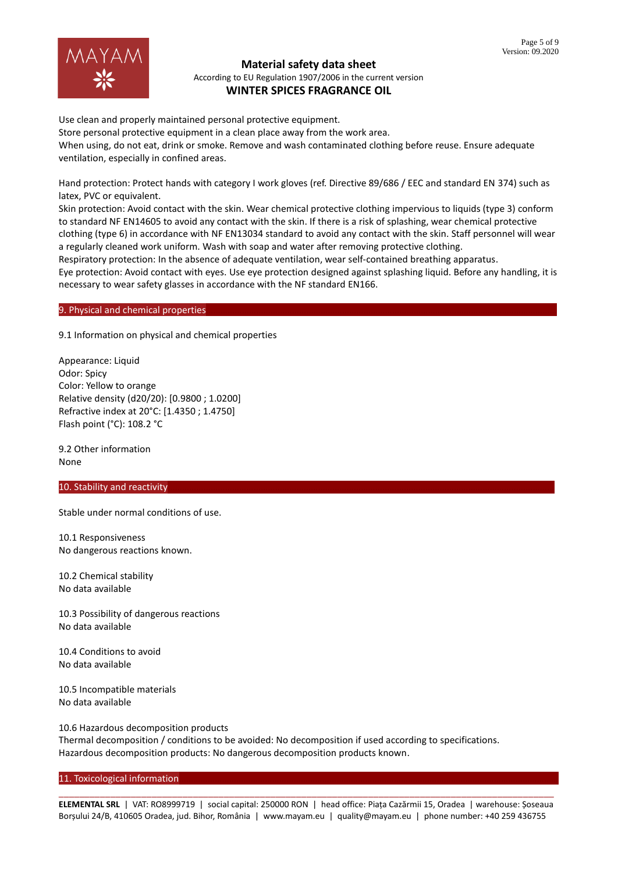

Use clean and properly maintained personal protective equipment.

Store personal protective equipment in a clean place away from the work area.

When using, do not eat, drink or smoke. Remove and wash contaminated clothing before reuse. Ensure adequate ventilation, especially in confined areas.

Hand protection: Protect hands with category I work gloves (ref. Directive 89/686 / EEC and standard EN 374) such as latex, PVC or equivalent.

Skin protection: Avoid contact with the skin. Wear chemical protective clothing impervious to liquids (type 3) conform to standard NF EN14605 to avoid any contact with the skin. If there is a risk of splashing, wear chemical protective clothing (type 6) in accordance with NF EN13034 standard to avoid any contact with the skin. Staff personnel will wear a regularly cleaned work uniform. Wash with soap and water after removing protective clothing.

Respiratory protection: In the absence of adequate ventilation, wear self-contained breathing apparatus.

Eye protection: Avoid contact with eyes. Use eye protection designed against splashing liquid. Before any handling, it is necessary to wear safety glasses in accordance with the NF standard EN166.

## 9. Physical and chemical properties

9.1 Information on physical and chemical properties

Appearance: Liquid Odor: Spicy Color: Yellow to orange Relative density (d20/20): [0.9800 ; 1.0200] Refractive index at 20°C: [1.4350 ; 1.4750] Flash point (°C): 108.2 °C

9.2 Other information None

### 10. Stability and reactivity

Stable under normal conditions of use.

10.1 Responsiveness No dangerous reactions known.

10.2 Chemical stability No data available

10.3 Possibility of dangerous reactions No data available

10.4 Conditions to avoid No data available

10.5 Incompatible materials No data available

10.6 Hazardous decomposition products Thermal decomposition / conditions to be avoided: No decomposition if used according to specifications. Hazardous decomposition products: No dangerous decomposition products known.

### 11. Toxicological information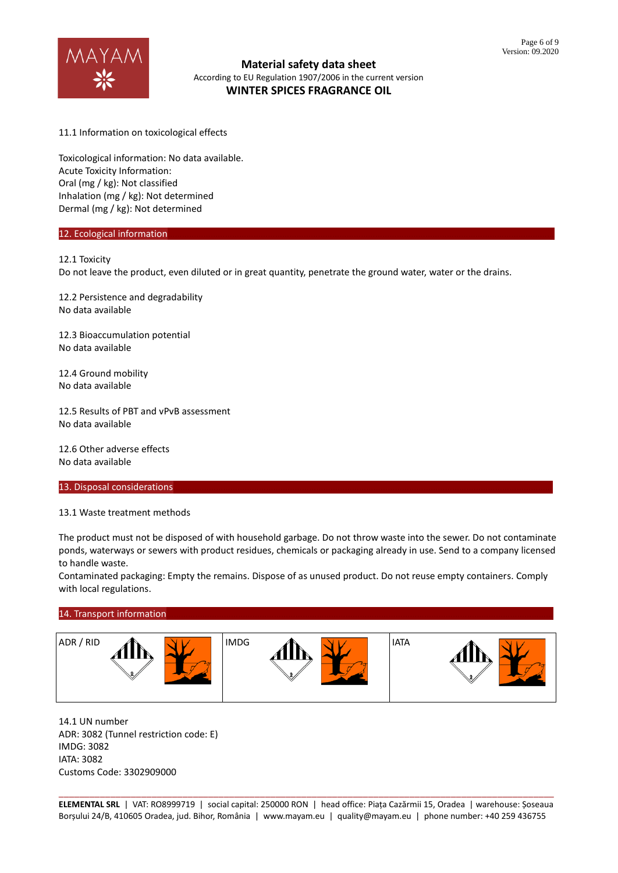

11.1 Information on toxicological effects

Toxicological information: No data available. Acute Toxicity Information: Oral (mg / kg): Not classified Inhalation (mg / kg): Not determined Dermal (mg / kg): Not determined

### 12. Ecological information

### 12.1 Toxicity

Do not leave the product, even diluted or in great quantity, penetrate the ground water, water or the drains.

12.2 Persistence and degradability No data available

12.3 Bioaccumulation potential No data available

12.4 Ground mobility No data available

12.5 Results of PBT and vPvB assessment No data available

12.6 Other adverse effects No data available

#### 13. Disposal considerations

13.1 Waste treatment methods

The product must not be disposed of with household garbage. Do not throw waste into the sewer. Do not contaminate ponds, waterways or sewers with product residues, chemicals or packaging already in use. Send to a company licensed to handle waste.

Contaminated packaging: Empty the remains. Dispose of as unused product. Do not reuse empty containers. Comply with local regulations.

### 14. Transport information



14.1 UN number ADR: 3082 (Tunnel restriction code: E) IMDG: 3082 IATA: 3082 Customs Code: 3302909000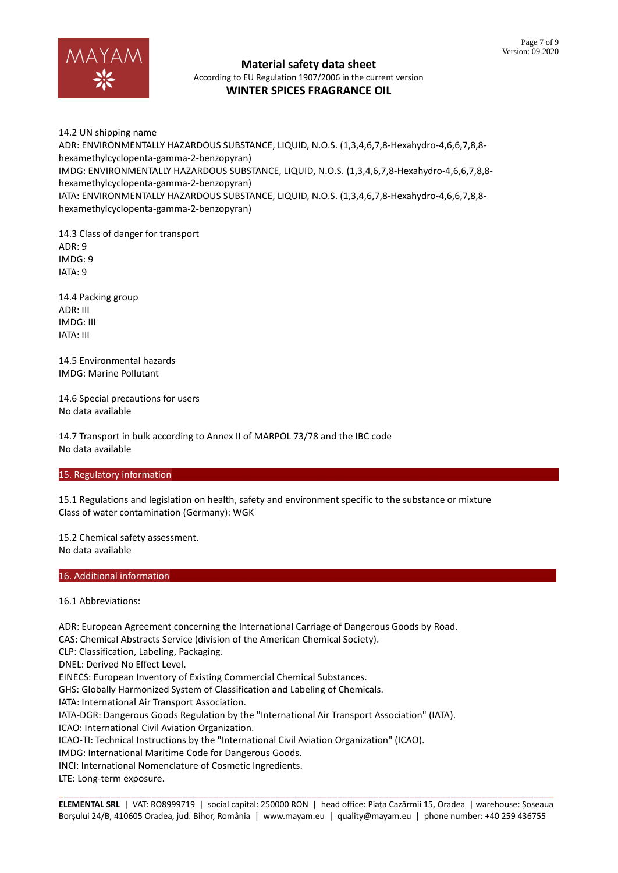

14.2 UN shipping name ADR: ENVIRONMENTALLY HAZARDOUS SUBSTANCE, LIQUID, N.O.S. (1,3,4,6,7,8-Hexahydro-4,6,6,7,8,8 hexamethylcyclopenta-gamma-2-benzopyran) IMDG: ENVIRONMENTALLY HAZARDOUS SUBSTANCE, LIQUID, N.O.S. (1,3,4,6,7,8-Hexahydro-4,6,6,7,8,8 hexamethylcyclopenta-gamma-2-benzopyran) IATA: ENVIRONMENTALLY HAZARDOUS SUBSTANCE, LIQUID, N.O.S. (1,3,4,6,7,8-Hexahydro-4,6,6,7,8,8 hexamethylcyclopenta-gamma-2-benzopyran)

14.3 Class of danger for transport ADR: 9 IMDG: 9 IATA: 9

14.4 Packing group ADR: III IMDG: III IATA: III

14.5 Environmental hazards IMDG: Marine Pollutant

14.6 Special precautions for users No data available

14.7 Transport in bulk according to Annex II of MARPOL 73/78 and the IBC code No data available

# 15. Regulatory information

15.1 Regulations and legislation on health, safety and environment specific to the substance or mixture Class of water contamination (Germany): WGK

15.2 Chemical safety assessment. No data available

# 16. Additional information

16.1 Abbreviations:

ADR: European Agreement concerning the International Carriage of Dangerous Goods by Road. CAS: Chemical Abstracts Service (division of the American Chemical Society). CLP: Classification, Labeling, Packaging. DNEL: Derived No Effect Level. EINECS: European Inventory of Existing Commercial Chemical Substances. GHS: Globally Harmonized System of Classification and Labeling of Chemicals. IATA: International Air Transport Association. IATA-DGR: Dangerous Goods Regulation by the "International Air Transport Association" (IATA). ICAO: International Civil Aviation Organization. ICAO-TI: Technical Instructions by the "International Civil Aviation Organization" (ICAO). IMDG: International Maritime Code for Dangerous Goods. INCI: International Nomenclature of Cosmetic Ingredients. LTE: Long-term exposure.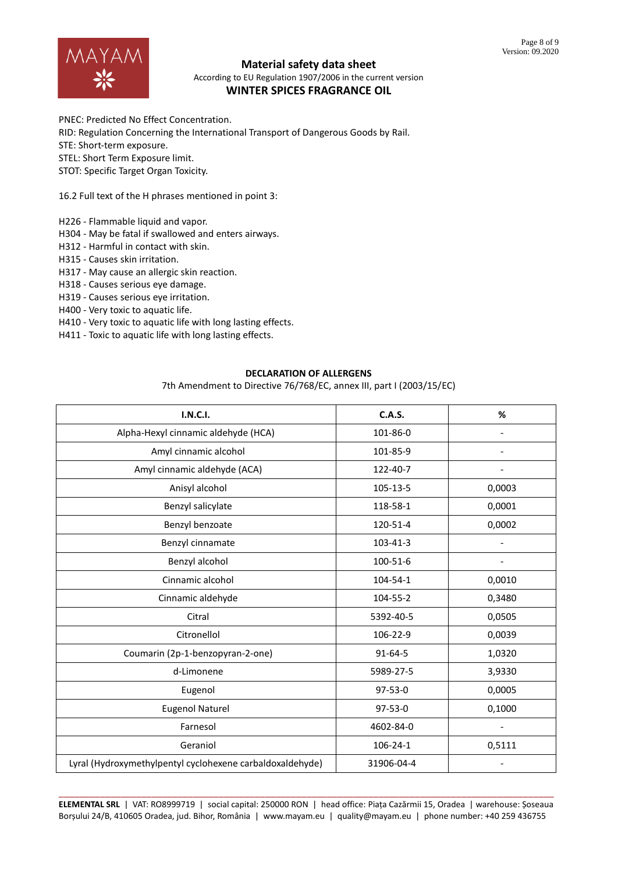

# **Material safety data sheet**

According to EU Regulation 1907/2006 in the current version **WINTER SPICES FRAGRANCE OIL**

PNEC: Predicted No Effect Concentration.

RID: Regulation Concerning the International Transport of Dangerous Goods by Rail.

STE: Short-term exposure.

STEL: Short Term Exposure limit.

STOT: Specific Target Organ Toxicity.

16.2 Full text of the H phrases mentioned in point 3:

H226 - Flammable liquid and vapor.

H304 - May be fatal if swallowed and enters airways.

H312 - Harmful in contact with skin.

H315 - Causes skin irritation.

H317 - May cause an allergic skin reaction.

H318 - Causes serious eye damage.

H319 - Causes serious eye irritation.

H400 - Very toxic to aquatic life.

H410 - Very toxic to aquatic life with long lasting effects.

H411 - Toxic to aquatic life with long lasting effects.

## **DECLARATION OF ALLERGENS**

7th Amendment to Directive 76/768/EC, annex III, part I (2003/15/EC)

| I.N.C.I.                                                  | <b>C.A.S.</b> | %                        |
|-----------------------------------------------------------|---------------|--------------------------|
| Alpha-Hexyl cinnamic aldehyde (HCA)                       | 101-86-0      |                          |
| Amyl cinnamic alcohol                                     | 101-85-9      |                          |
| Amyl cinnamic aldehyde (ACA)                              | 122-40-7      |                          |
| Anisyl alcohol                                            | 105-13-5      | 0,0003                   |
| Benzyl salicylate                                         | 118-58-1      | 0,0001                   |
| Benzyl benzoate                                           | 120-51-4      | 0,0002                   |
| Benzyl cinnamate                                          | 103-41-3      | $\overline{\phantom{a}}$ |
| Benzyl alcohol                                            | 100-51-6      | $\overline{\phantom{0}}$ |
| Cinnamic alcohol                                          | 104-54-1      | 0,0010                   |
| Cinnamic aldehyde                                         | 104-55-2      | 0,3480                   |
| Citral                                                    | 5392-40-5     | 0,0505                   |
| Citronellol                                               | 106-22-9      | 0,0039                   |
| Coumarin (2p-1-benzopyran-2-one)                          | 91-64-5       | 1,0320                   |
| d-Limonene                                                | 5989-27-5     | 3,9330                   |
| Eugenol                                                   | $97 - 53 - 0$ | 0,0005                   |
| <b>Eugenol Naturel</b>                                    | $97-53-0$     | 0,1000                   |
| Farnesol                                                  | 4602-84-0     |                          |
| Geraniol                                                  | 106-24-1      | 0,5111                   |
| Lyral (Hydroxymethylpentyl cyclohexene carbaldoxaldehyde) | 31906-04-4    |                          |